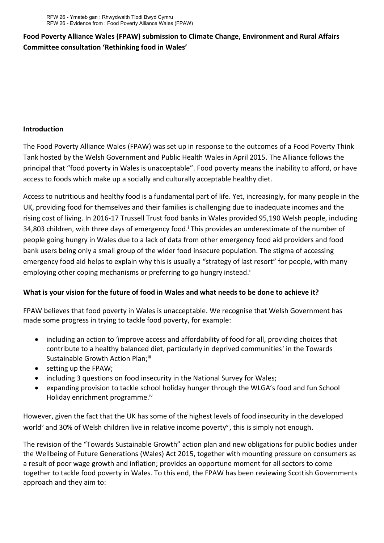## **Food Poverty Alliance Wales (FPAW) submission to Climate Change, Environment and Rural Affairs Committee consultation 'Rethinking food in Wales'**

## **Introduction**

The Food Poverty Alliance Wales (FPAW) was set up in response to the outcomes of a Food Poverty Think Tank hosted by the Welsh Government and Public Health Wales in April 2015. The Alliance follows the principal that "food poverty in Wales is unacceptable". Food poverty means the inability to afford, or have access to foods which make up a socially and culturally acceptable healthy diet.

Access to nutritious and healthy food is a fundamental part of life. Yet, increasingly, for many people in the UK, providing food for themselves and their families is challenging due to inadequate incomes and the rising cost of living. In 2016-17 Trussell Trust food banks in Wales provided 95,190 Welsh people, including 34,803 children, with three days of emergency food.<sup>i</sup> This provides an underestimate of the number of people going hungry in Wales due to a lack of data from other emergency food aid providers and food bank users being only a small group of the wider food insecure population. The stigma of accessing emergency food aid helps to explain why this is usually a "strategy of last resort" for people, with many employing other coping mechanisms or preferring to go hungry instead.<sup>ii</sup>

## **What is your vision for the future of food in Wales and what needs to be done to achieve it?**

FPAW believes that food poverty in Wales is unacceptable. We recognise that Welsh Government has made some progress in trying to tackle food poverty, for example:

- including an action to 'improve access and affordability of food for all, providing choices that contribute to a healthy balanced diet, particularly in deprived communities' in the Towards Sustainable Growth Action Plan;ill
- setting up the FPAW;
- including 3 questions on food insecurity in the National Survey for Wales;
- expanding provision to tackle school holiday hunger through the WLGA's food and fun School Holiday enrichment programme.<sup>iv</sup>

However, given the fact that the UK has some of the highest levels of food insecurity in the developed world<sup>v</sup> and 30% of Welsh children live in relative income poverty<sup>vi</sup>, this is simply not enough.

The revision of the "Towards Sustainable Growth" action plan and new obligations for public bodies under the Wellbeing of Future Generations (Wales) Act 2015, together with mounting pressure on consumers as a result of poor wage growth and inflation; provides an opportune moment for all sectors to come together to tackle food poverty in Wales. To this end, the FPAW has been reviewing Scottish Governments approach and they aim to: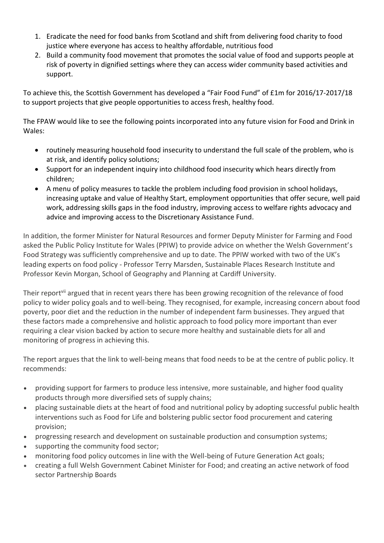- 1. Eradicate the need for food banks from Scotland and shift from delivering food charity to food justice where everyone has access to healthy affordable, nutritious food
- 2. Build a community food movement that promotes the social value of food and supports people at risk of poverty in dignified settings where they can access wider community based activities and support.

To achieve this, the Scottish Government has developed a "Fair Food Fund" of £1m for 2016/17-2017/18 to support projects that give people opportunities to access fresh, healthy food.

The FPAW would like to see the following points incorporated into any future vision for Food and Drink in Wales:

- routinely measuring household food insecurity to understand the full scale of the problem, who is at risk, and identify policy solutions;
- Support for an independent inquiry into childhood food insecurity which hears directly from children;
- A menu of policy measures to tackle the problem including food provision in school holidays, increasing uptake and value of Healthy Start, employment opportunities that offer secure, well paid work, addressing skills gaps in the food industry, improving access to welfare rights advocacy and advice and improving access to the Discretionary Assistance Fund.

In addition, the former Minister for Natural Resources and former Deputy Minister for Farming and Food asked the Public Policy Institute for Wales (PPIW) to provide advice on whether the Welsh Government's Food Strategy was sufficiently comprehensive and up to date. The PPIW worked with two of the UK's leading experts on food policy - Professor Terry Marsden, Sustainable Places Research Institute and Professor Kevin Morgan, School of Geography and Planning at Cardiff University.

Their report<sup>vii</sup> argued that in recent years there has been growing recognition of the relevance of food policy to wider policy goals and to well-being. They recognised, for example, increasing concern about food poverty, poor diet and the reduction in the number of independent farm businesses. They argued that these factors made a comprehensive and holistic approach to food policy more important than ever requiring a clear vision backed by action to secure more healthy and sustainable diets for all and monitoring of progress in achieving this.

The report argues that the link to well-being means that food needs to be at the centre of public policy. It recommends:

- providing support for farmers to produce less intensive, more sustainable, and higher food quality products through more diversified sets of supply chains;
- placing sustainable diets at the heart of food and nutritional policy by adopting successful public health interventions such as Food for Life and bolstering public sector food procurement and catering provision;
- progressing research and development on sustainable production and consumption systems;
- supporting the community food sector;
- monitoring food policy outcomes in line with the Well-being of Future Generation Act goals;
- creating a full Welsh Government Cabinet Minister for Food; and creating an active network of food sector Partnership Boards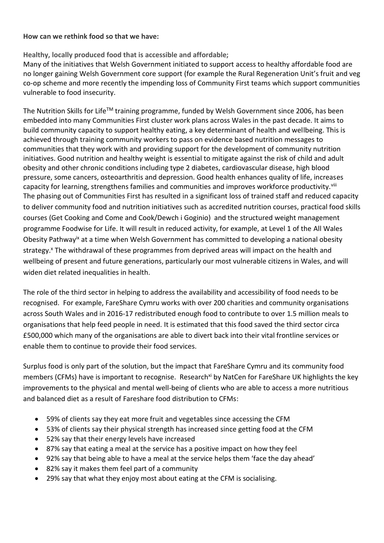## **How can we rethink food so that we have:**

**Healthy, locally produced food that is accessible and affordable;**

Many of the initiatives that Welsh Government initiated to support access to healthy affordable food are no longer gaining Welsh Government core support (for example the Rural Regeneration Unit's fruit and veg co-op scheme and more recently the impending loss of Community First teams which support communities vulnerable to food insecurity.

The Nutrition Skills for Life™ training programme, funded by Welsh Government since 2006, has been embedded into many Communities First cluster work plans across Wales in the past decade. It aims to build community capacity to support healthy eating, a key determinant of health and wellbeing. This is achieved through training community workers to pass on evidence based nutrition messages to communities that they work with and providing support for the development of community nutrition initiatives. Good nutrition and healthy weight is essential to mitigate against the risk of child and adult obesity and other chronic conditions including type 2 diabetes, cardiovascular disease, high blood pressure, some cancers, osteoarthritis and depression. Good health enhances quality of life, increases capacity for learning, strengthens families and communities and improves workforce productivity.<sup>viii</sup> The phasing out of Communities First has resulted in a significant loss of trained staff and reduced capacity to deliver community food and nutrition initiatives such as accredited nutrition courses, practical food skills courses (Get Cooking and Come and Cook/Dewch i Goginio) and the structured weight management programme Foodwise for Life. It will result in reduced activity, for example, at Level 1 of the All Wales Obesity Pathway<sup>ix</sup> at a time when Welsh Government has committed to developing a national obesity strategy.<sup>x</sup> The withdrawal of these programmes from deprived areas will impact on the health and wellbeing of present and future generations, particularly our most vulnerable citizens in Wales, and will widen diet related inequalities in health.

The role of the third sector in helping to address the availability and accessibility of food needs to be recognised. For example, FareShare Cymru works with over 200 charities and community organisations across South Wales and in 2016-17 redistributed enough food to contribute to over 1.5 million meals to organisations that help feed people in need. It is estimated that this food saved the third sector circa £500,000 which many of the organisations are able to divert back into their vital frontline services or enable them to continue to provide their food services.

Surplus food is only part of the solution, but the impact that FareShare Cymru and its community food members (CFMs) have is important to recognise. Research<sup>xi</sup> by NatCen for FareShare UK highlights the key improvements to the physical and mental well-being of clients who are able to access a more nutritious and balanced diet as a result of Fareshare food distribution to CFMs:

- 59% of clients say they eat more fruit and vegetables since accessing the CFM
- 53% of clients say their physical strength has increased since getting food at the CFM
- 52% say that their energy levels have increased
- 87% say that eating a meal at the service has a positive impact on how they feel
- 92% say that being able to have a meal at the service helps them 'face the day ahead'
- 82% say it makes them feel part of a community
- 29% say that what they enjoy most about eating at the CFM is socialising.